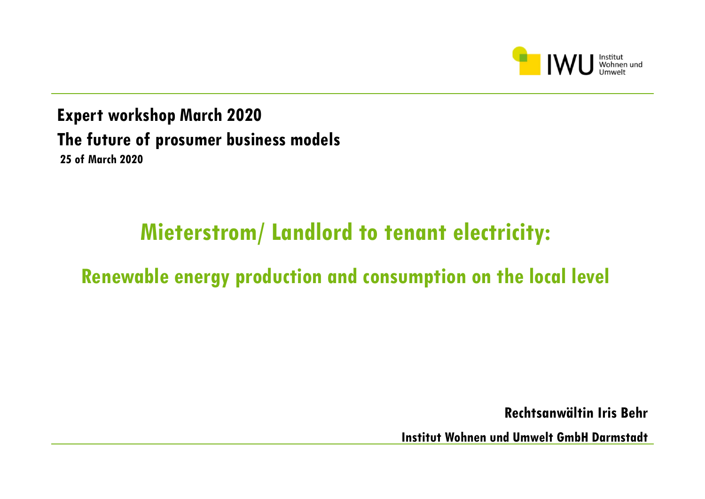

**Expert workshop March 2020 The future of prosumer business models 25 of March 2020**

## **Mieterstrom/ Landlord to tenant electricity:**

### **Renewable energy production and consumption on the local level**

**Rechtsanwältin Iris Behr** 

**Institut Wohnen und Umwelt GmbH Darmstadt**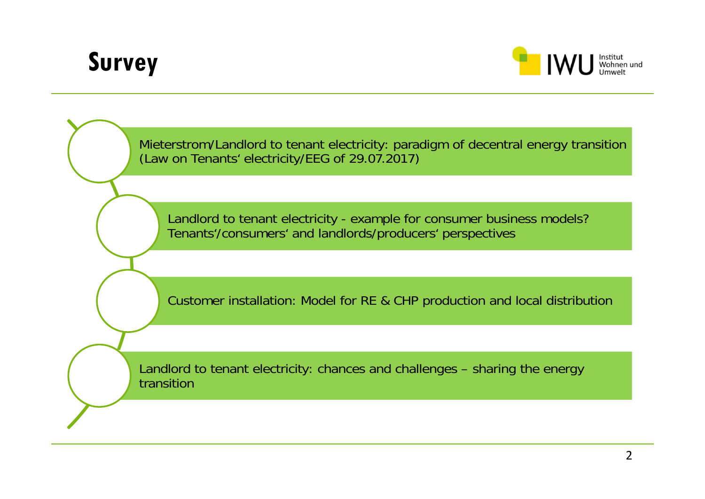# **Survey**



Mieterstrom/Landlord to tenant electricity: paradigm of decentral energy transition (Law on Tenants' electricity/EEG of 29.07.2017) Landlord to tenant electricity - example for consumer business models? Tenants'/consumers' and landlords/producers' perspectives Customer installation: Model for RE & CHP production and local distribution Landlord to tenant electricity: chances and challenges – sharing the energy transition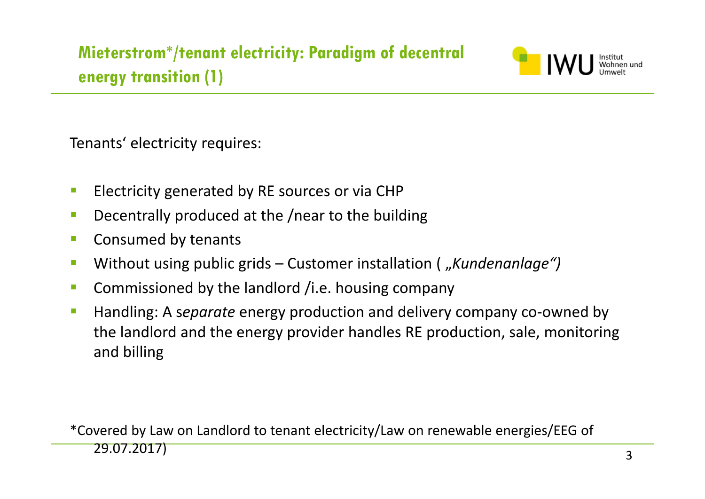

Tenants' electricity requires:

- $\mathbb{R}^n$ Electricity generated by RE sources or via CHP
- $\mathcal{C}^{\mathcal{A}}$ Decentrally produced at the /near to the building
- $\mathcal{L}_{\mathcal{A}}$ Consumed by tenants
- $\mathcal{C}^{\mathcal{A}}$ Without using public grids – Customer installation ( "*Kundenanlage")*
- $\mathcal{C}^{\mathcal{A}}$ Commissioned by the landlord /i.e. housing company
- $\mathcal{C}^{\mathcal{A}}$ ■ Handling: A separate energy production and delivery company co-owned by the landlord and the energy provider handles RE production, sale, monitoring and billing

\*Covered by Law on Landlord to tenant electricity/Law on renewable energies/EEG of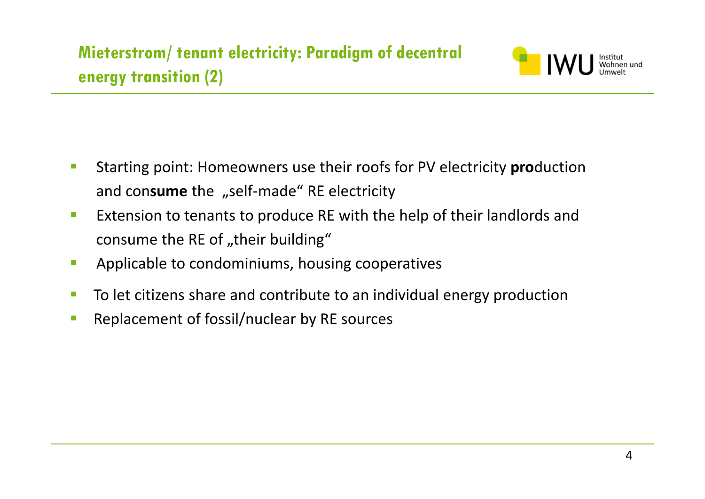

- $\mathcal{C}^{\mathcal{A}}$  Starting point: Homeowners use their roofs for PV electricity **pro**duction and con**sume** the "self-made" RE electricity
- $\mathcal{L}_{\mathcal{A}}$ **EXTER 10 FIGURE 10 EXTERNAL EXTERNAL EXTENCE POSTLEM** EXTENSION TO LEADED FIGURE **THE UP THE STANDER THE STANDER** consume the RE of "their building"
- $\mathcal{L}_{\mathcal{A}}$ Applicable to condominiums, housing cooperatives
- $\mathcal{L}_{\mathcal{A}}$ **Theoral Exercity Constructs** To let citizens share and contribute to an individual energy production
- $\mathcal{C}^{\mathcal{A}}$ Replacement of fossil/nuclear by RE sources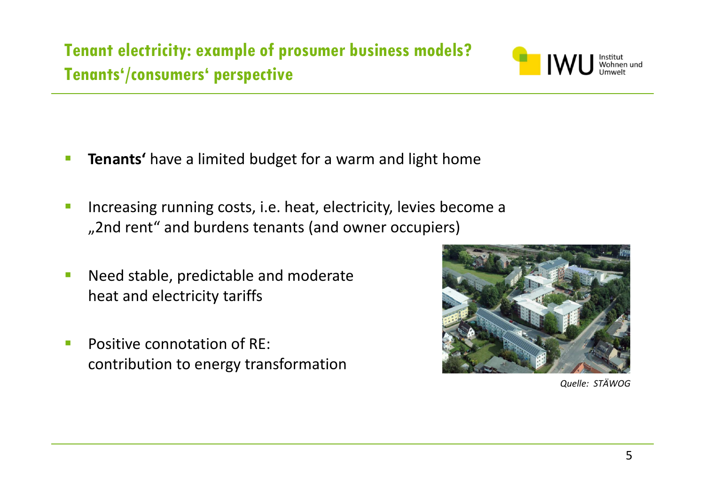

- $\overline{\phantom{a}}$ **Tenants'** have a limited budget for a warm and light home
- Increasing running costs, i.e. heat, electricity, levies become <sup>a</sup> "2nd rent" and burdens tenants (and owner occupiers)
- **Need stable, predictable and moderate** heat and electricity tariffs
- **Positive connotation of RE:** contribution to energy transformation



*Quelle: STÄWOG*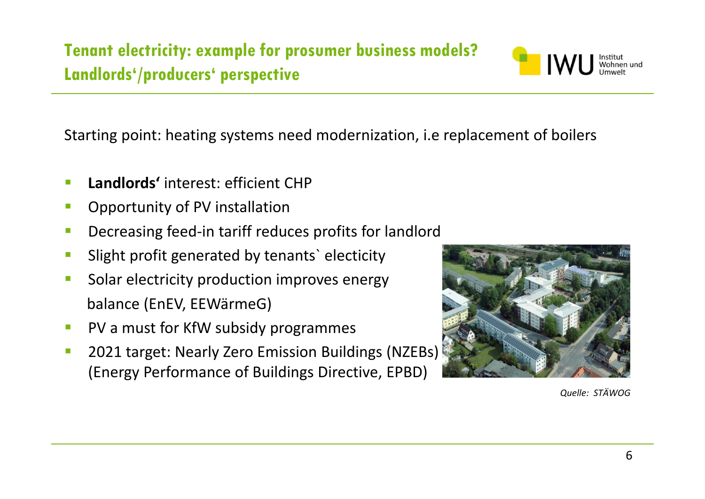**Tenant electricity: example for prosumer business models? Landlords'/producers' perspective**



Starting point: heating systems need modernization, i.e replacement of boilers

- **Landlords'** interest: efficient CHP
- Opportunity of PV installation
- $\mathcal{L}^{\mathcal{A}}$ ■ Decreasing feed-in tariff reduces profits for landlord
- $\mathcal{L}_{\mathcal{A}}$ Slight profit generated by tenants` electicity
- Ŧ Solar electricity production improves energy balance (EnEV, EEWärmeG)
- **PV** a must for KfW subsidy programmes
- $\mathcal{L}_{\mathcal{A}}$ **2021 target: Nearly Zero Emission Buildings (NZEBs)** (Energy Performance of Buildings Directive, EPBD)



*Quelle: STÄWOG*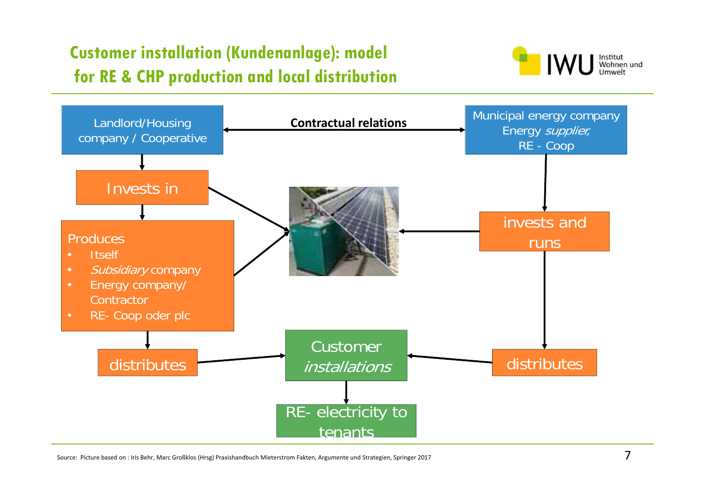### **Customer installation (Kundenanlage): model for RE & CHP production and local distribution**





Source: Picture based on : Iris Behr, Marc Großklos (Hrsg) Praxishandbuch Mieterstrom Fakten, Argumente und Strategien, Springer 2017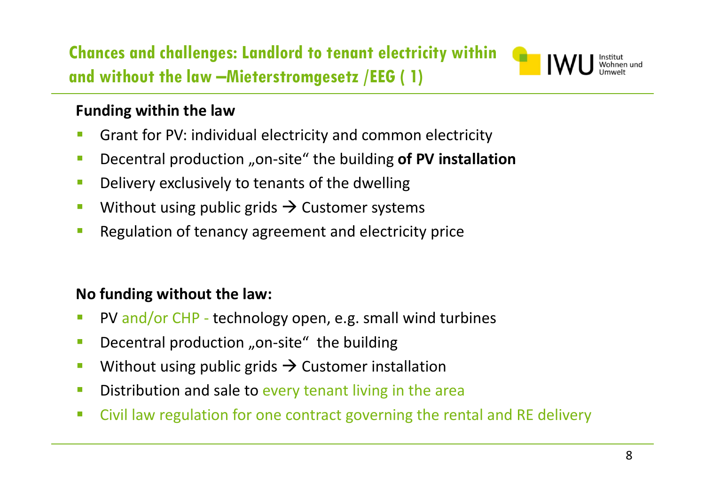**Chances and challenges: Landlord to tenant electricity within** Institut<br>Wohnen und<br>Umwelt **and without the law –Mieterstromgesetz /EEG ( 1)**

### **Funding within the law**

- $\overline{\mathcal{C}}$ Grant for PV: individual electricity and common electricity
- $\mathcal{L}_{\mathcal{A}}$ **•** Decentral production "on-site" the building of PV installation
- $\overline{\mathcal{C}}$ Delivery exclusively to tenants of the dwelling
- $\mathbb{R}^n$ **Without using public grids**  $\rightarrow$  **Customer systems**
- $\mathbb{R}^3$ Regulation of tenancy agreement and electricity price

### **No funding without the law:**

- $\mathbb{R}^n$ ■ PV and/or CHP - technology open, e.g. small wind turbines
- $\mathbb{R}^n$ ■ Decentral production "on-site" the building
- $\overline{\mathbb{R}^n}$ **Without using public grids**  $\rightarrow$  **Customer installation**
- $\mathbb{R}^3$ **Distribution and sale to every tenant living in the area**
- $\mathcal{L}_{\mathcal{A}}$ **EXTE:** Civil law regulation for one contract governing the rental and RE delivery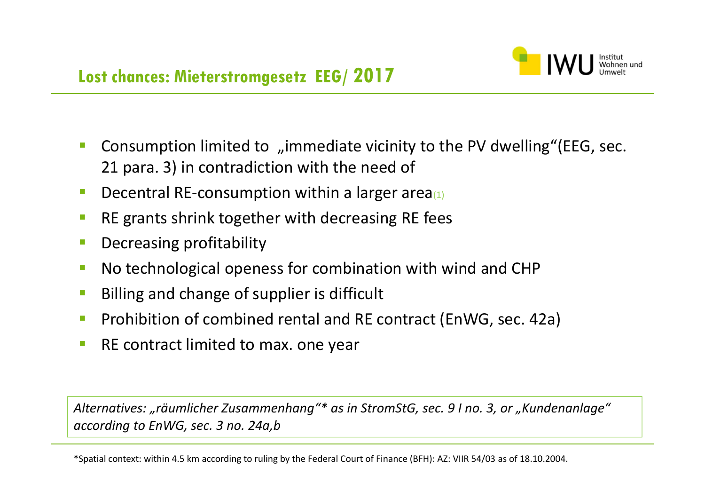

- $\overline{\phantom{a}}$ Consumption limited to "immediate vicinity to the PV dwelling"(EEG, sec. 21 para. 3) in contradiction with the need of
- $\mathbb{R}^n$ **• Decentral RE-consumption within a larger area**
- $\overline{\phantom{a}}$ **RE grants shrink together with decreasing RE fees**
- F Decreasing profitability
- $\Box$ No technological openess for combination with wind and CHP
- $\overline{\phantom{a}}$ Billing and change of supplier is difficult
- $\mathcal{L}_{\mathcal{A}}$ **Prohibition of combined rental and RE contract (EnWG, sec. 42a)**
- $\Box$ **RE contract limited to max. one year**

*Alternatives: "räumlicher Zusammenhang"\* as in StromStG, sec. 9 I no. 3, or "Kundenanlage" according to EnWG, sec. 3 no. 24a,b*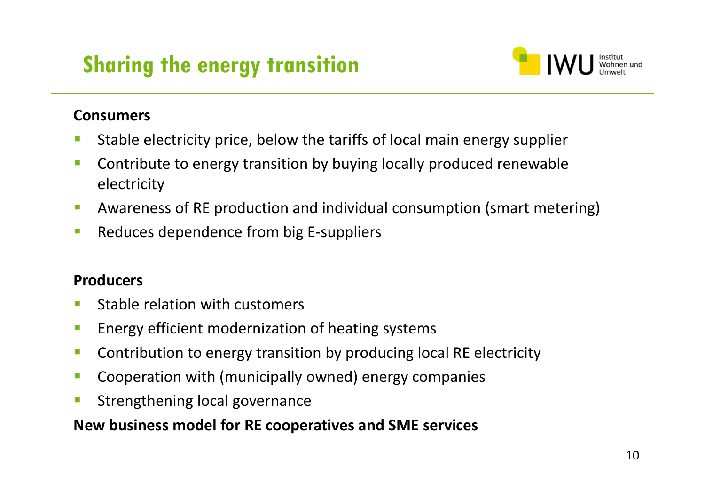# **Sharing the energy transition**



#### **Consumers**

- Stable electricity price, below the tariffs of local main energy supplier
- **EXP** Contribute to energy transition by buying locally produced renewable electricity
- Ŧ **AWATERERS 65 RM andivioler Arm AV andividual consumption (smart metering)**
- $\mathcal{L}_{\mathcal{A}}$ ■ Reduces dependence from big E-suppliers

#### **Producers**

- Stable relation with customers
- Ŧ Energy efficient modernization of heating systems
- $\mathcal{L}_{\mathcal{A}}$ **Contribution to energy transition by producing local RE electricity**
- $\sim$ Cooperation with (municipally owned) energy companies
- $\mathcal{C}^{\mathcal{A}}$ Strengthening local governance

### **New business model for RE cooperatives and SME services**